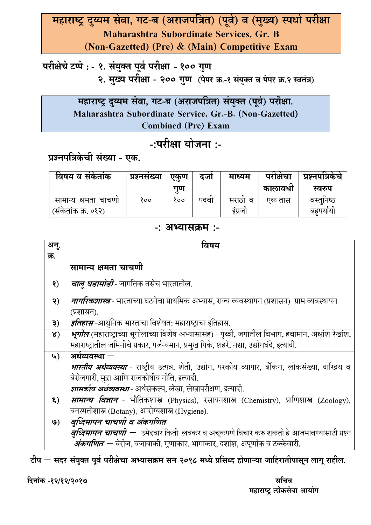## महाराष्ट्र दुय्यम सेवा, गट-ब (अराजपत्रित) (पूर्व) व (मुख्य) स्पर्धा परीक्षा **Maharashtra Subordinate Services, Gr. B (Non-Gazetted) (Pre) & (Main) Competitive Exam**

## $\blacksquare$  परीक्षेचे टप्पे : - १. संयुक्त पूर्व परीक्षा - १०० गुण **- २. मुख्य परीक्षा - २०० गुण** (पेपर क्र.-१ संयुक्त व पेपर क्र.२ स्वतंत्र)

महाराष्ट्र दुय्यम सेवा, गट-ब (अराजपत्रित) सयुक्त (पूर्व) परीक्षा. **Maharashtra Subordinate Service, Gr.-B. (Non-Gazetted) Combined (Pre) Exam** 

## -:परीक्षा योजना **:-**

### प्रश्नपत्रिकेची संख्या - एक.

| विषय व सकताक         | प्रश्नसंख्या | एकण | दजा  | माध्यम     | पराक्षचा | प्रश्नपात्रकच |
|----------------------|--------------|-----|------|------------|----------|---------------|
|                      |              | गण  |      |            | कालावधा  | स्वरुप        |
| सामान्य क्षमता चाचणा | १००          | १०० | पदवा | ਕ<br>मराठा | एक तास   | वस्तुनिष्ठ    |
| (संकेतांक क्र. ०१२)  |              |     |      | इग्रजा     |          | बहूपयोयो      |

### -: अभ्यासक्रम :-

| अन्.                | विषय                                                                                                        |
|---------------------|-------------------------------------------------------------------------------------------------------------|
| क्र.                |                                                                                                             |
|                     | सामान्य क्षमता चाचणी                                                                                        |
| $\mathbf{S}$        | <i>चाल् घडामोडी</i> - जागतिक तसेच भारतातील.                                                                 |
| २)                  | <i><b>नागरिकशास्त्र</b>-</i> भारताच्या घटनेचा प्राथमिक अभ्यास, राज्य व्यवस्थापन (प्रशासन)  ग्राम व्यवस्थापन |
|                     | (प्रशासन).                                                                                                  |
| ३)                  | <i>इतिहास</i> -आधुनिक भारताचा विशेषत: महाराष्ट्राचा इतिहास.                                                 |
| $\lambda)$          | <i>भूगोल</i> (महाराष्ट्राच्या भूगोलाच्या विशेष अभ्यासासह) - पृथ्वी, जगातील विभाग, हवामान, अक्षांश-रेखांश,   |
|                     | महाराष्ट्रातील जमिनीचे प्रकार, पर्जन्यमान, प्रमुख पिके, शहरे, नद्या, उद्योगधंदे, इत्यादी.                   |
| ५)                  | अर्थव्यवस्था $-$                                                                                            |
|                     | <i>भारतीय अर्थव्यवस्था</i> - राष्ट्रीय उत्पन्न, शेती, उद्योग, परकीय व्यापार, बँकिंग, लोकसंख्या, दारिद्रय व  |
|                     | बेरोजगारी, मुद्रा आणि राजकोषीय नीति, इत्यादी.                                                               |
|                     | <i>शासकीय अर्थव्यवस्था</i> - अर्थसंकल्प, लेखा, लेखापरीक्षण, इत्यादी.                                        |
| $\boldsymbol{\xi})$ | <b>सामान्य विज्ञान</b> - भौतिकशास्त्र (Physics), रसायनशास्त्र (Chemistry), प्राणिशास्त्र (Zoology),         |
|                     | वनस्पतीशास्त्र (Botany), आरोग्यशास्त्र (Hygiene).                                                           |
| $\mathbf{Q}$        | बुध्दिमापन चाचणी व अंकगणित                                                                                  |
|                     | <i>बुध्दिमापन चाचणी —</i> उमेदवार किती  लवकर व अचूकपणे विचार करु शकतो हे आजमावण्यासाठी प्रश्न               |
|                     | <i>अंकगणित</i> — बेरीज, वजाबाकी, गुणाकार, भागाकार, दशांश, अपूर्णांक व टक्केवारी.                            |

टीप — सदर संयुक्त पूर्व परीक्षेचा अभ्यासक्रम सन २०१८ मध्ये प्रसिध्द होणाऱ्या जाहिरातीपासून लागू राहील.

**")'
\$ -12/12/2017 "**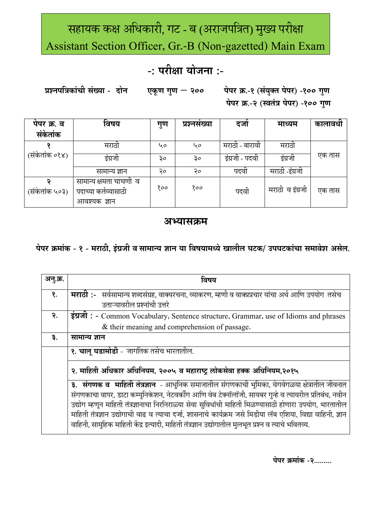# सहायक कक्ष अधिकारी, गट - ब (अराजपत्रित) मुख्य परीक्षा Assistant Section Officer, Gr.-B (Non-gazetted) Main Exam

## -: परीक्षा योजना :-

प्रश्नपत्रिकांची संख्या - दोन पेपर क्र.-१ (संयुक्त पेपर) -१०० गुण एकूण गुण - २०० पेपर क्र.-२ (स्वतंत्र पेपर) -१०० गुण

| पंपर क्र. व<br>संकेतांक | ⌒<br>विषय                                       | गुण | प्रश्नसख्या | दजा            | माध्यम          | कालावधा |
|-------------------------|-------------------------------------------------|-----|-------------|----------------|-----------------|---------|
|                         |                                                 |     |             |                |                 |         |
|                         | मराठा                                           | 40  | ५०          | मराठो - बारावो | मराठा           |         |
| (सर्कतांक ०१४)          | इंग्रजी                                         | ३०  | ३०          | इंग्रजी - पदवो | इंग्रजी         | एक तास  |
|                         | सामान्य ज्ञान                                   | २०  | २०          | पदवा           | मराठी -इंग्रजी  |         |
| (संकेतांक ५०३)          | सामान्य क्षमता चाचणों व<br>पदाच्या कर्तव्यासाठी | १०० | १००         | पदवी           | मराठी व इंग्रजी | एक तास  |
|                         | आवश्यक ज्ञान                                    |     |             |                |                 |         |

### अभ्यासक्रम

पेपर क्रमांक - १ - मराठी, इंग्रजी व सामान्य ज्ञान या विषयामध्ये खालील घटक/ उपघटकांचा समावेश असेल.

| अनु.क्र.   | विषय                                                                                                            |
|------------|-----------------------------------------------------------------------------------------------------------------|
| $\delta$ . | <b>मराठी :</b> -   सर्वसामान्य शब्दसंग्रह, वाक्यरचना, व्याकरण, म्हणी व वाक्प्रप्रचार यांचा अर्थ आणि उपयोग  तसेच |
|            | उताऱ्यावरील प्रश्नांची उत्तरे                                                                                   |
| २.         | इंग्रजी: - Common Vocabulary, Sentence structure, Grammar, use of Idioms and phrases                            |
|            | & their meaning and comprehension of passage.                                                                   |
| ३.         | सामान्य ज्ञान                                                                                                   |
|            | १. चालू घडामोडी - जागतिक तसेच भारतातील.                                                                         |
|            | २. माहिती अधिकार अधिनियम, २००५ व महाराष्ट्र लोकसेवा हक्क अधिनियम,२०१५                                           |
|            | <mark>३.  संगणक व  माहिती तंत्रज्ञान</mark> - आधुनिक समाजातील संगणकाची भूमिका, वेगवेगळया क्षेत्रातील जीवनात     |
|            | संगणकाचा वापर, डाटा कम्युनिकेशन, नेटवर्कींग आणि वेब टेक्नॉलॉजी, सायबर गुन्हे व त्यावरील प्रतिबंध, नवीन          |
|            | उद्योग म्हणून माहिती तंत्रज्ञानाचा निरनिराळ्या सेवा सुविधांची माहिती मिळण्यासाठी होणारा उपयोग, भारतातील         |
|            | माहिती तंत्रज्ञान उद्योगाची वाढ व त्याचा दर्जा, शासनाचे कार्यक्रम जसे मिडीया लॅब एशिया, विद्या वाहिनी, ज्ञान    |
|            | वाहिनी, सामुहिक माहिती केंद्र इत्यादी, माहिती तंत्रज्ञान उद्योगातील मुलभूत प्रश्न व त्याचे भवितव्य.             |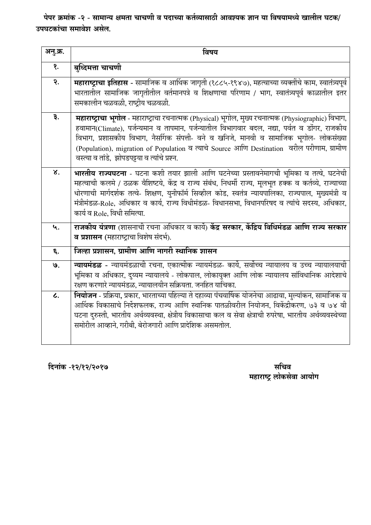पेपर क्रमांक -२ - सामान्य क्षमता चाचणी व पदाच्या कर्तव्यासाठी आवश्यक ज्ञान या विषयामध्ये खालील घटक/ उपघटकांचा समावेश असेल.

| अनु.क्र.        | विषय                                                                                                                                                                                                                                                                                                                                                                                                                                                  |
|-----------------|-------------------------------------------------------------------------------------------------------------------------------------------------------------------------------------------------------------------------------------------------------------------------------------------------------------------------------------------------------------------------------------------------------------------------------------------------------|
| $\mathbf{S}$ .  | बुध्दिमत्ता चाचणी                                                                                                                                                                                                                                                                                                                                                                                                                                     |
| २.              | महाराष्ट्राचा इतिहास - सामाजिक व आर्थिक जागृती (१८८५-१९४७), महत्वाच्या व्यक्तींचे काम, स्वातंत्र्यपूर्व<br>भारतातील सामाजिक जागृतीतील वर्तमानपत्रे व शिक्षणाचा परिणाम / भाग, स्वातंत्र्यपूर्व काळातील इतर<br>समकालीन चळवळी, राष्ट्रीय चळवळी.                                                                                                                                                                                                          |
| ३.              | <b>महाराष्ट्राचा भूगोल</b> - महाराष्ट्राचा रचनात्मक (Physical) भूगोल, मुख्य रचनात्मक (Physiographic) विभाग,<br>हवामान(Climate), पर्जन्यमान व तापमान, पर्जन्यातील विभागवार बदल, नद्या, पर्वत व डोंगर, राजकीय<br>विभाग, प्रशासकीय विभाग, नैर्सागक संपत्ती- वने व खनिजे, मानवी व सामाजिक भूगोल- लोकसंख्या<br>(Population), migration of Population व त्याचे Source आणि Destination वरील परीणाम, ग्रामीण<br>वस्त्या व तांडे, झोपडपट्टया व त्यांचे प्रश्न. |
| ४.              | भारतीय राज्यघटना - घटना कशी तयार झाली आणि घटनेच्या प्रस्तावनेमागची भूमिका व तत्वे, घटनेची<br>महत्वाची कलमे / ठळक वैशिष्टये, केंद्र व राज्य संबंध, निधर्मी राज्य, मूलभूत हक्क व कर्तव्ये, राज्याच्या<br>धोरणाची मार्गदर्शक तत्वे- शिक्षण, युनीफॉर्म सिव्हील कोड, स्वतंत्र न्यायपालिका, राज्यपाल, मुख्यमंत्री व<br>मंत्रीमंडळ-Role, अधिकार व कार्य, राज्य विधीमंडळ- विधानसभा, विधानपरिषद व त्यांचे सदस्य, अधिकार,<br>कार्य व Role, विधी समित्या.        |
| ५.              | राजकीय यंत्रणा (शासनाची रचना अधिकार व कार्ये) केंद्र सरकार, केंद्रिय विधिमंडळ आणि राज्य सरकार<br>व प्रशासन (महाराष्ट्राचा विशेष संदर्भ).                                                                                                                                                                                                                                                                                                              |
| ६.              | जिल्हा प्रशासन, ग्रामीण आणि नागरी स्थानिक शासन                                                                                                                                                                                                                                                                                                                                                                                                        |
| 9.              | <b>न्यायमंडळ</b> - न्यायमंडळाची रचना, एकात्मीक न्यायमंडळ- कार्ये, सर्वोच्च न्यायालय व उच्च न्यायालयाची<br>भूमिका व अधिकार, दुय्यम न्यायालये - लोकपाल, लोकायुक्त आणि लोक न्यायालय सांविधानिक आदेशाचे<br>रक्षण करणारे न्यायमंडळ, न्यायालयीन सक्रियता. जनहित याचिका.                                                                                                                                                                                     |
| $\mathcal{L}$ . | <b>नियोजन</b> - प्रक्रिया, प्रकार, भारताच्या पहिल्या ते दहाव्या पंचवार्षिक योजनेचा आढावा, मुल्यांकन, सामाजिक व<br>आर्थिक विकासाचे निर्देशफलक, राज्य आणि स्थानिक पातळीवरील नियोजन, विकेंद्रीकरण, ७३ व ७४ वी<br>घटना दुरुस्ती, भारतीय अर्थव्यवस्था, क्षेत्रीय विकासाचा कल व सेवा क्षेत्राची रुपरेषा, भारतीय अर्थव्यवस्थेच्या<br>समोरील आव्हाने, गरीबी, बेरोजगारी आणि प्रादेशिक असमतोल.                                                                  |

दिनांक -१२/१२/२०१७

सचिव<br>महाराष्ट्र लोकसेवा आयोग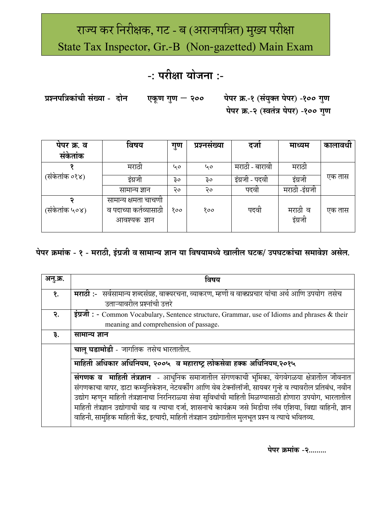# राज्य कर निरीक्षक, गट - ब (अराजपत्रित) मुख्य परीक्षा State Tax Inspector, Gr.-B (Non-gazetted) Main Exam

# -: परीक्षा योजना :-

प्रश्नपत्रिकांची संख्या - दोन पेपर क्र.-१ (संयुक्त पेपर) -१०० गुण एकूण गुण — २०० पेपर क्र.-२ (स्वतंत्र पेपर) -१०० गुण

| पंपर क्र. व    | विषय                                                           | गुण | प्रश्नसख्या | दजा            | माध्यम             | कालावधी |
|----------------|----------------------------------------------------------------|-----|-------------|----------------|--------------------|---------|
| संकेतांक       |                                                                |     |             |                |                    |         |
|                | मराठी                                                          | ५०  | 40          | मराठो - बारावो | मराठी              |         |
| (संकेतांक ०१४) | इंग्रजी                                                        | ३०  | ३०          | इंग्रजी - पदवी | इंग्रजी            | एक तास  |
|                | सामान्य ज्ञान                                                  | २०  | २०          | पदवा           | मराठी -इंग्रजी     |         |
| (संकेतांक ५०४) | सामान्य क्षमता चाचणो<br>व पदाच्या कर्तव्यासाठी<br>आवश्यक ज्ञान | १०० | १००         | पदवा           | मराठी व<br>इंग्रजी | एक तास  |
|                |                                                                |     |             |                |                    |         |

### पेपर क्रमांक - १ - मराठी, इंग्रजी व सामान्य ज्ञान या विषयामध्ये खालील घटक/ उपघटकांचा समावेश असेल.

| अन्.क्र.   | विषय                                                                                                         |
|------------|--------------------------------------------------------------------------------------------------------------|
| $\delta$ . | <b>मराठी:-</b> सर्वसामान्य शब्दसंग्रह, वाक्यरचना, व्याकरण, म्हणी व वाक्प्रप्रचार यांचा अर्थ आणि उपयोग  तसेच  |
|            | उताऱ्यावरील प्रश्नांची उत्तरे                                                                                |
| २.         | इंग्रजी: - Common Vocabulary, Sentence structure, Grammar, use of Idioms and phrases & their                 |
|            | meaning and comprehension of passage.                                                                        |
| ३.         | सामान्य ज्ञान                                                                                                |
|            | चालू घडामोडी - जागतिक तसेच भारतातील.                                                                         |
|            | माहिती अधिकार अधिनियम, २००५ व महाराष्ट्र लोकसेवा हक्क अधिनियम,२०१५                                           |
|            | संगणक व माहिती तंत्रज्ञान - आधुनिक समाजातील संगणकाची भूमिका, वेगवेगळया क्षेत्रातील जीवनात                    |
|            | संगणकाचा वापर, डाटा कम्युनिकेशन, नेटवर्कींग आणि वेब टेक्नॉलॉजी, सायबर गुन्हे व त्यावरील प्रतिबंध, नवीन       |
|            | उद्योग म्हणून माहिती तंत्रज्ञानाचा निरनिराळ्या सेवा सुविधांची माहिती मिळण्यासाठी होणारा उपयोग, भारतातील      |
|            | माहिती तंत्रज्ञान उद्योगाची वाढ व त्याचा दर्जा, शासनाचे कार्यक्रम जसे मिडीया लॅब एशिया, विद्या वाहिनी, ज्ञान |
|            | वाहिनी, सामुहिक माहिती केंद्र, इत्यादी, माहिती तंत्रज्ञान उद्योगातील मुलभूत प्रश्न व त्याचे भवितव्य.         |

पेपर क्रमांक -२.........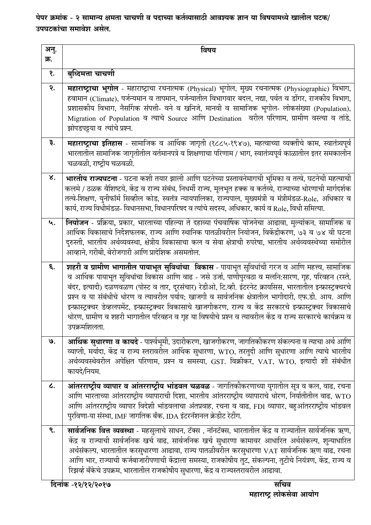पेपर क्रमांक - २ सामान्य क्षमता चाचणी व पदाच्या कर्तव्यासाठी आवश्यक ज्ञान या विषयामध्ये खालील घटक/ उपघटकांचा समावेश असेल.

| अनु.<br>क्र. | विषय                                                                                                                                                                                                                                                                                                                                                                                                                                                                                                                                                                                                                                                                         |
|--------------|------------------------------------------------------------------------------------------------------------------------------------------------------------------------------------------------------------------------------------------------------------------------------------------------------------------------------------------------------------------------------------------------------------------------------------------------------------------------------------------------------------------------------------------------------------------------------------------------------------------------------------------------------------------------------|
| Q.           | बुध्दिमत्ता चाचणी                                                                                                                                                                                                                                                                                                                                                                                                                                                                                                                                                                                                                                                            |
| २.           | महाराष्ट्राचा भूगोल - महाराष्ट्राचा रचनात्मक (Physical) भूगोल, मुख्य रचनात्मक (Physiographic) विभाग,<br>हवामान (Climate), पर्जन्यमान व तापमान, पर्जन्यातील विभागवार बदल, नद्या, पर्वत व डोंगर, राजकीय विभाग,<br>प्रशासकीय विभाग, नैर्सागक संपत्ती- वने व खनिजे, मानवी व सामाजिक भूगोल- लोकसंख्या (Population),<br>Migration of Population व त्याचे Source आणि Destination वरील परिणाम, ग्रामीण वस्त्या व तांडे,<br>झोपडपट्टया व त्यांचे प्रश्न.                                                                                                                                                                                                                              |
| ३.           | महाराष्ट्राचा इतिहास - सामाजिक व आर्थिक जागृती (१८८५-१९४७), महत्वाच्या व्यक्तींचे काम, स्वातंत्र्यपूर्व<br>भारतातील सामाजिक जागृतीतील वर्तमानपत्रे व शिक्षणाचा परिणाम / भाग, स्वातंत्र्यपूर्व काळातील इतर समकालीन<br>चळवळी, राष्ट्रीय चळवळी.                                                                                                                                                                                                                                                                                                                                                                                                                                 |
| ४.           | <b>भारतीय राज्यघटना</b> - घटना कशी तयार झाली आणि घटनेच्या प्रस्तावनेमागची भूमिका व तत्वे, घटनेची महत्वाची<br>कलमे / ठळक वैशिष्टये, केंद्र व राज्य संबंध, निधर्मी राज्य, मूलभूत हक्क व कर्तव्ये, राज्याच्या धोरणाची मार्गदर्शक<br>तत्वे-शिक्षण, युनीफॉर्म सिव्हील कोड, स्वतंत्र न्यायपालिका, राज्यपाल, मुख्यमंत्री व मंत्रीमंडळ-Role, अधिकार व<br>कार्य, राज्य विधीमंडळ- विधानसभा, विधानपरिषद व त्यांचे सदस्य, अधिकार, कार्य व Role, विधी समित्या.                                                                                                                                                                                                                            |
| ५.           | <b>नियोजन</b> - प्रक्रिया, प्रकार, भारताच्या पहिल्या ते दहाव्या पंचवार्षिक योजनेचा आढावा, मुल्यांकन, सामाजिक व<br>आर्थिक विकासाचे निर्देशफलक, राज्य आणि स्थानिक पातळीवरील नियोजन, विकेंद्रीकरण, ७३ व ७४ वी घटना<br>दुरुस्ती, भारतीय अर्थव्यवस्था, क्षेत्रीय विकासाचा कल व सेवा क्षेत्राची रुपरेषा, भारतीय अर्थव्यवस्थेच्या समोरील<br>आव्हाने, गरीबी, बेरोजगारी आणि प्रादेशिक असमतोल.                                                                                                                                                                                                                                                                                         |
| ६.           | शहरी व ग्रामीण भागातील पायाभूत सुविधांचा  विकास - पायाभूत सुविधांची गरज व आणि महत्त्व, सामाजिक<br>व आर्थिक पायाभूत सुविधांचा विकास आणि वाढ - जसे उर्जा, पाणीपुरवठा व मलनि:सारण, गृह, परिवहन (रस्ते,<br>बंदर, इत्यादी) दळणवळण (पोस्ट व तार, दूरसंचार) रेडीओ, टि.व्ही. इंटरनेट क्रायसिस, भारतातील इन्फ्रास्ट्रक्चरचे<br>प्रश्न व या संबंधीचे धोरण व त्यावरील पर्याय; खाजगी व सार्वजनिक क्षेत्रातील भागीदारी, एफ.डी. आय. आणि<br>इन्फ्रास्ट्रक्चर डेव्हलपमेंट, इन्फ्रास्ट्रक्चर विकासाचे खाजगीकरण, राज्य व केंद्र सरकारचे इन्फ्रास्ट्रक्चर विकासाचे<br>धोरण, ग्रामीण व शहरी भागातील परिवहन व गृह या विषयीचे प्रश्न व त्यावरील केंद्र व राज्य सरकारचे कार्यक्रम व<br>उपक्रमशिलता. |
| ७.           | <b>आर्थिक सुधारणा व कायदे</b> - पार्श्वभूमी, उदारीकरण, खाजगीकरण, जागतिकीकरण संकल्पना व त्याचा अर्थ आणि<br>व्याप्ती, मर्यादा, केंद्र व राज्य स्तरावरील आर्थिक सुधारणा, WTO, तरतुदी आणि सुधारणा आणि त्याचे भारतीय<br>अर्थव्यवस्थेवरील अपेक्षित परिणाम, प्रश्न व समस्या, GST. विक्रीकर, VAT, WTO, इत्यादी शी संबंधीत<br>कायदे/नियम.                                                                                                                                                                                                                                                                                                                                             |
| L.           | आंतरराष्ट्रीय व्यापार व आंतरराष्ट्रीय भांडवल चळवळ - जागतिकीकरणाच्या युगातील सूत्र व कल, वाढ, रचना<br>आणि भारताच्या आंतरराष्ट्रीय व्यापाराची दिशा, भारतीय आंतरराष्ट्रीय व्यापाराचे धोरण, निर्यातीतील वाढ, WTO<br>आणि आंतरराष्ट्रीय व्यापार विदेशी भांडवलाचा अंतप्रवाह, रचना व वाढ, FDI व्यापार, बहुआंतरराष्ट्रीय भांडवल<br>पुरविणा-या संस्था, IMF जागतिक बँक, IDA इंटरनॅशनल क्रेडीट रेटींग.                                                                                                                                                                                                                                                                                   |
| ९.           | <b>सार्वजनिक वित्त व्यवस्था</b> - महसुलाचे साधन, टॅक्स , नॉनटॅक्स, भारतातील केंद्र व राज्यातील सार्वजनिक ऋण,<br>केंद्र व राज्याची सार्वजनिक खर्च वाढ, सार्वजनिक खर्च सुधारणा कामावर आधारित अर्थसंकल्प, शुन्याधारित<br>अर्थसंकल्प, भारतातील करसुधारणा आढावा, राज्य पातळीवरील करसुधारणा VAT सार्वजनिक ऋण वाढ, रचना<br>आणि भार, राज्याची कर्जबाजारीपणाची केंद्राला समस्या, राजकोषीय तुट, संकल्पना, तुटीचे नियंत्रण, केंद्र, राज्य व<br>रिझर्व्ह बँकेचे उपक्रम, भारतातील राजकोषीय सुधारणा, केंद्र व राज्यस्तरावरील आढावा.                                                                                                                                                        |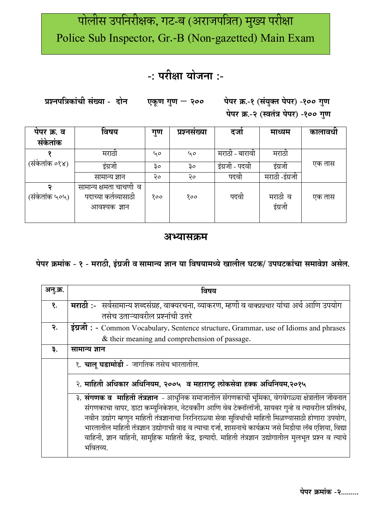# पोलीस उपनिरीक्षक, गट-ब (अराजपत्रित) मुख्य परीक्षा Police Sub Inspector, Gr.-B (Non-gazetted) Main Exam

## -: परीक्षा योजना :-

प्रश्नपत्रिकांची संख्या - दोन एकूण गुण  $-$  २०० पेपर क्र.-१ (संयुक्त पेपर) -१०० गुण पेपर क्र.-२ (स्वतंत्र पेपर) -१०० गुण

| पेपर क्र. व<br>संकेतांक | विषय                    | गुण | प्रश्नसंख्या | दजा            | माध्यम         | कालावधी |
|-------------------------|-------------------------|-----|--------------|----------------|----------------|---------|
|                         |                         |     |              |                |                |         |
|                         | मराठा                   | 40  | 40           | मराठी - बारावी | मराठी          |         |
| (संकेतांक ०१४)          |                         |     |              |                |                | एक तास  |
|                         | इंग्रजी                 | ३०  | ३०           | इंग्रजी - पदवी | इंग्रजी        |         |
|                         | सामान्य ज्ञान           | २०  | २०           | पदवा           | मराठी -इंग्रजी |         |
|                         | सामान्य क्षमता चाचणी  व |     |              |                |                |         |
| (संकेतांक ५०५)          | पदाच्या कर्तव्यासाठी    | १०० | १००          | पदवी           | मराठी व        | एक तास  |
|                         | आवश्यक ज्ञान            |     |              |                | इंग्रजी        |         |
|                         |                         |     |              |                |                |         |

### अभ्यासक्रम

### पेपर क्रमांक - १ - मराठी, इंग्रजी व सामान्य ज्ञान या विषयामध्ये खालील घटक/ उपघटकांचा समावेश असेल.

| अनु.क्र. | विषय                                                                                                                                                                                                                                                                                                                                                                                                                                                                                                                                            |
|----------|-------------------------------------------------------------------------------------------------------------------------------------------------------------------------------------------------------------------------------------------------------------------------------------------------------------------------------------------------------------------------------------------------------------------------------------------------------------------------------------------------------------------------------------------------|
| १.       | <b>मराठी:</b> -   सर्वसामान्य शब्दसंग्रह, वाक्यरचना, व्याकरण, म्हणी व वाक्प्रप्रचार यांचा अर्थ आणि उपयोग                                                                                                                                                                                                                                                                                                                                                                                                                                        |
|          | तसेच उताऱ्यावरील प्रश्नांची उत्तरे                                                                                                                                                                                                                                                                                                                                                                                                                                                                                                              |
| २.       | इंग्रजी: - Common Vocabulary, Sentence structure, Grammar, use of Idioms and phrases                                                                                                                                                                                                                                                                                                                                                                                                                                                            |
|          | & their meaning and comprehension of passage.                                                                                                                                                                                                                                                                                                                                                                                                                                                                                                   |
| ३.       | सामान्य ज्ञान                                                                                                                                                                                                                                                                                                                                                                                                                                                                                                                                   |
|          | १. <b>चाल् घडामोडी</b> - जागतिक तसेच भारतातील.                                                                                                                                                                                                                                                                                                                                                                                                                                                                                                  |
|          | २. माहिती अधिकार अधिनियम, २००५  व महाराष्ट्र लोकसेवा हक्क अधिनियम,२०१५                                                                                                                                                                                                                                                                                                                                                                                                                                                                          |
|          | ३. संगणक व  माहिती तंत्रज्ञान  - आधुनिक समाजातील संगणकाची भूमिका, वेगवेगळ्या क्षेत्रातील जीवनात<br>संगणकाचा वापर, डाटा कम्युनिकेशन, नेटवर्कींग आणि वेब टेक्नॉलॉजी, सायबर गुन्हे व त्यावरील प्रतिबंध,<br>नवीन उद्योग म्हणून माहिती तंत्रज्ञानाचा निरनिराळ्या सेवा सुविधांची माहिती मिळण्यासाठी होणारा उपयोग,<br>भारतातील माहिती तंत्रज्ञान उद्योगाची वाढ व त्याचा दर्जा, शासनाचे कार्यक्रम जसे मिडीया लॅब एशिया, विद्या<br>वाहिनी, ज्ञान वाहिनी, सामुहिक माहिती केंद्र, इत्यादी. माहिती तंत्रज्ञान उद्योगातील मुलभूत प्रश्न व त्याचे<br>भवितव्य. |